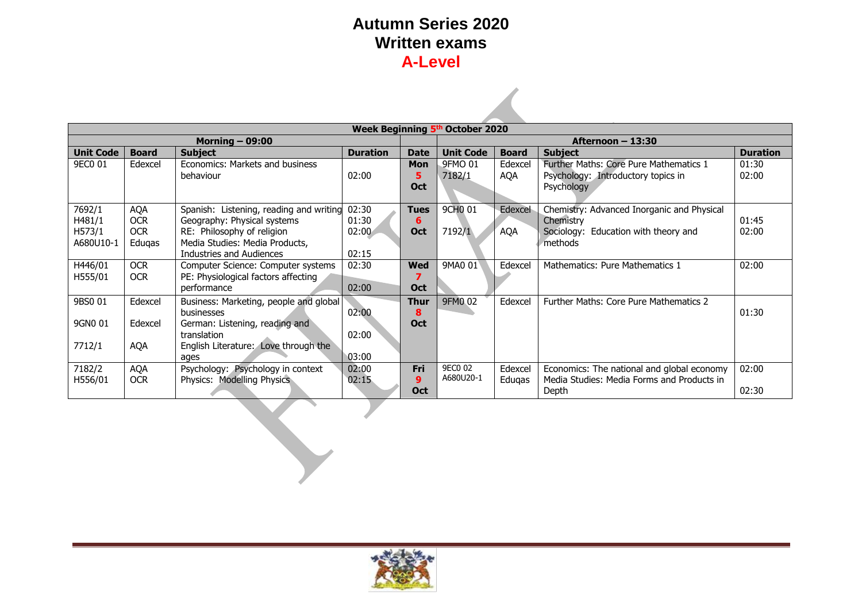|                   | Week Beginning 5th October 2020 |                                         |                 |             |                     |              |                                            |                 |  |
|-------------------|---------------------------------|-----------------------------------------|-----------------|-------------|---------------------|--------------|--------------------------------------------|-----------------|--|
| Morning $-$ 09:00 |                                 |                                         |                 |             |                     |              | Afternoon $-13:30$                         |                 |  |
| <b>Unit Code</b>  | <b>Board</b>                    | <b>Subject</b>                          | <b>Duration</b> | <b>Date</b> | <b>Unit Code</b>    | <b>Board</b> | <b>Subject</b>                             | <b>Duration</b> |  |
| 9EC0 01           | Edexcel                         | Economics: Markets and business         |                 | <b>Mon</b>  | 9FMO 01             | Edexcel      | Further Maths: Core Pure Mathematics 1     | 01:30           |  |
|                   |                                 | behaviour                               | 02:00           | 5.          | 7182/1              | <b>AQA</b>   | Psychology: Introductory topics in         | 02:00           |  |
|                   |                                 |                                         |                 | Oct         |                     |              | Psychology                                 |                 |  |
|                   |                                 |                                         |                 |             |                     |              |                                            |                 |  |
| 7692/1            | <b>AQA</b>                      | Spanish: Listening, reading and writing | 02:30           | <b>Tues</b> | 9CH <sub>0</sub> 01 | Edexcel      | Chemistry: Advanced Inorganic and Physical |                 |  |
| H481/1            | <b>OCR</b>                      | Geography: Physical systems             | 01:30           | 6           |                     |              | Chemistry                                  | 01:45           |  |
| H573/1            | <b>OCR</b>                      | RE: Philosophy of religion              | 02:00           | <b>Oct</b>  | 7192/1              | <b>AQA</b>   | Sociology: Education with theory and       | 02:00           |  |
| A680U10-1         | Edugas                          | Media Studies: Media Products,          |                 |             |                     |              | methods                                    |                 |  |
|                   |                                 | <b>Industries and Audiences</b>         | 02:15           |             |                     |              |                                            |                 |  |
| H446/01           | <b>OCR</b>                      | Computer Science: Computer systems      | 02:30           | <b>Wed</b>  | 9MA0 01             | Edexcel      | Mathematics: Pure Mathematics 1            | 02:00           |  |
| H555/01           | <b>OCR</b>                      | PE: Physiological factors affecting     |                 |             |                     |              |                                            |                 |  |
|                   |                                 | performance                             | 02:00           | <b>Oct</b>  |                     |              |                                            |                 |  |
| 9BS0 01           | Edexcel                         | Business: Marketing, people and global  |                 | <b>Thur</b> | 9FM0 02             | Edexcel      | Further Maths: Core Pure Mathematics 2     |                 |  |
|                   |                                 | businesses                              | 02:00           | 8           |                     |              |                                            | 01:30           |  |
| 9GN0 01           | Edexcel                         | German: Listening, reading and          |                 | Oct         |                     |              |                                            |                 |  |
|                   |                                 | translation                             | 02:00           |             |                     |              |                                            |                 |  |
| 7712/1            | <b>AQA</b>                      | English Literature: Love through the    |                 |             |                     |              |                                            |                 |  |
|                   |                                 | ages                                    | 03:00           |             |                     |              |                                            |                 |  |
| 7182/2            | <b>AQA</b>                      | Psychology: Psychology in context       | 02:00           | Fri         | 9EC0 02             | Edexcel      | Economics: The national and global economy | 02:00           |  |
| H556/01           | <b>OCR</b>                      | Physics: Modelling Physics              | 02:15           | 9           | A680U20-1           | Edugas       | Media Studies: Media Forms and Products in |                 |  |
|                   |                                 |                                         |                 | <b>Oct</b>  |                     |              | Depth                                      | 02:30           |  |



 $\lambda$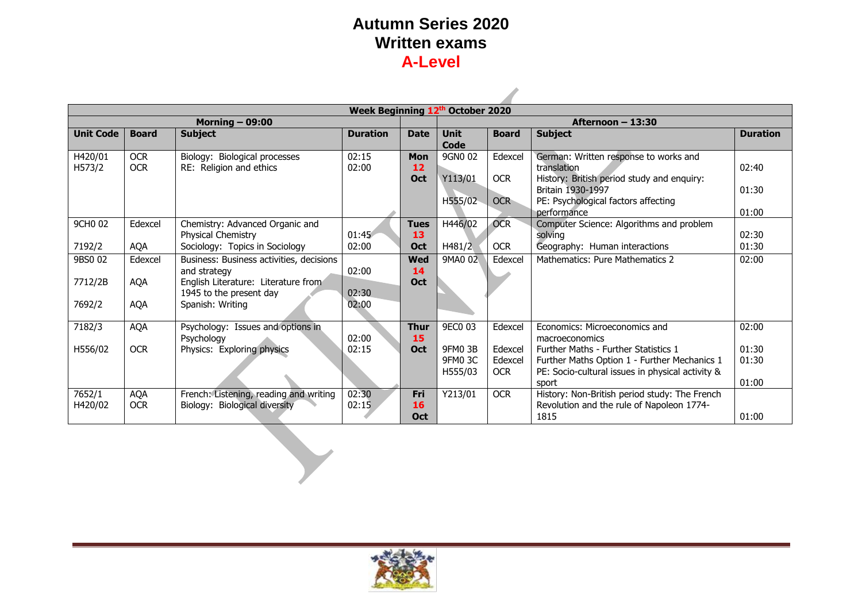$\mathcal{L}$ 

|                     | Week Beginning 12th October 2020       |                                                 |                 |             |             |              |                                                  |                 |  |
|---------------------|----------------------------------------|-------------------------------------------------|-----------------|-------------|-------------|--------------|--------------------------------------------------|-----------------|--|
|                     | Morning $-$ 09:00<br>Afternoon - 13:30 |                                                 |                 |             |             |              |                                                  |                 |  |
| <b>Unit Code</b>    | <b>Board</b>                           | <b>Subject</b>                                  | <b>Duration</b> | <b>Date</b> | <b>Unit</b> | <b>Board</b> | <b>Subject</b>                                   | <b>Duration</b> |  |
|                     |                                        |                                                 |                 |             | Code        |              |                                                  |                 |  |
| H420/01             | <b>OCR</b>                             | Biology: Biological processes                   | 02:15           | <b>Mon</b>  | 9GN0 02     | Edexcel      | German: Written response to works and            |                 |  |
| H573/2              | <b>OCR</b>                             | RE: Religion and ethics                         | 02:00           | 12          |             |              | translation                                      | 02:40           |  |
|                     |                                        |                                                 |                 | Oct         | Y113/01     | <b>OCR</b>   | History: British period study and enquiry:       |                 |  |
|                     |                                        |                                                 |                 |             |             |              | Britain 1930-1997                                | 01:30           |  |
|                     |                                        |                                                 |                 |             | H555/02     | <b>OCR</b>   | PE: Psychological factors affecting              |                 |  |
|                     |                                        |                                                 |                 |             |             |              | performance                                      | 01:00           |  |
| 9CH <sub>0</sub> 02 | Edexcel                                | Chemistry: Advanced Organic and                 |                 | <b>Tues</b> | H446/02     | <b>OCR</b>   | Computer Science: Algorithms and problem         |                 |  |
|                     |                                        | Physical Chemistry                              | 01:45           | 13          |             |              | solving                                          | 02:30           |  |
| 7192/2              | AQA                                    | Sociology: Topics in Sociology                  | 02:00           | Oct         | H481/2      | <b>OCR</b>   | Geography: Human interactions                    | 01:30           |  |
| 9BS0 02             | Edexcel                                | Business: Business activities, decisions        |                 | <b>Wed</b>  | 9MA0 02     | Edexcel      | Mathematics: Pure Mathematics 2                  | 02:00           |  |
|                     |                                        | and strategy                                    | 02:00           | 14          |             |              |                                                  |                 |  |
| 7712/2B             | <b>AQA</b>                             | English Literature: Literature from             |                 | <b>Oct</b>  |             |              |                                                  |                 |  |
|                     |                                        | 1945 to the present day                         | 02:30           |             |             |              |                                                  |                 |  |
| 7692/2              | <b>AQA</b>                             | Spanish: Writing                                | 02:00           |             |             |              |                                                  |                 |  |
|                     |                                        |                                                 |                 | <b>Thur</b> | 9EC0 03     | Edexcel      | Economics: Microeconomics and                    | 02:00           |  |
| 7182/3              | <b>AQA</b>                             | Psychology: Issues and options in<br>Psychology | 02:00           | 15          |             |              | macroeconomics                                   |                 |  |
| H556/02             | <b>OCR</b>                             | Physics: Exploring physics                      | 02:15           | <b>Oct</b>  | 9FM0 3B     | Edexcel      | <b>Further Maths - Further Statistics 1</b>      | 01:30           |  |
|                     |                                        |                                                 |                 |             | 9FM0 3C     | Edexcel      | Further Maths Option 1 - Further Mechanics 1     | 01:30           |  |
|                     |                                        |                                                 |                 |             | H555/03     | <b>OCR</b>   | PE: Socio-cultural issues in physical activity & |                 |  |
|                     |                                        |                                                 |                 |             |             |              | sport                                            | 01:00           |  |
| 7652/1              | <b>AQA</b>                             | French: Listening, reading and writing          | 02:30           | Fri         | Y213/01     | <b>OCR</b>   | History: Non-British period study: The French    |                 |  |
| H420/02             | <b>OCR</b>                             | Biology: Biological diversity                   | 02:15           | 16          |             |              | Revolution and the rule of Napoleon 1774-        |                 |  |
|                     |                                        |                                                 |                 | <b>Oct</b>  |             |              | 1815                                             | 01:00           |  |

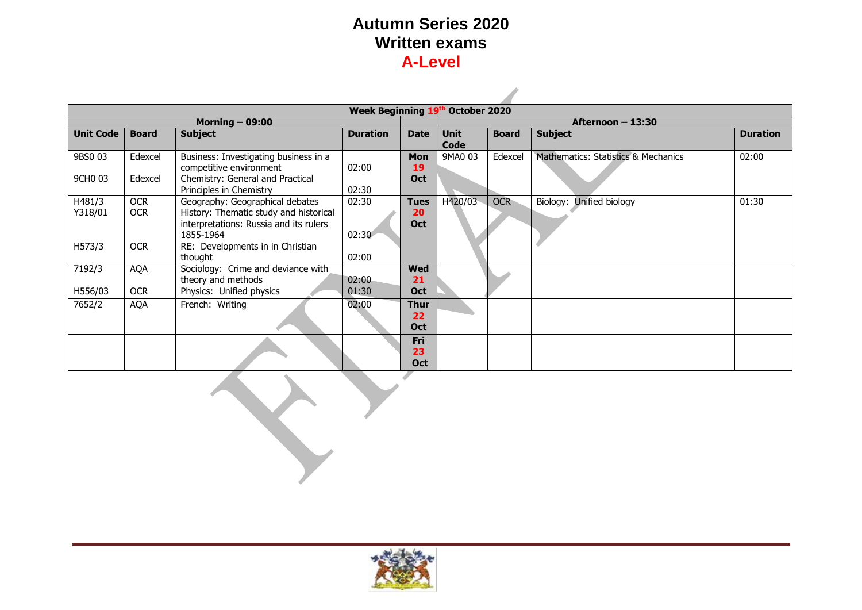| Week Beginning 19th October 2020 |                                                   |                                        |             |             |              |                   |                                     |       |  |  |  |
|----------------------------------|---------------------------------------------------|----------------------------------------|-------------|-------------|--------------|-------------------|-------------------------------------|-------|--|--|--|
| Morning $-$ 09:00                |                                                   |                                        |             |             |              | Afternoon – 13:30 |                                     |       |  |  |  |
| <b>Unit Code</b>                 | <b>Duration</b><br><b>Board</b><br><b>Subject</b> |                                        | <b>Date</b> | <b>Unit</b> | <b>Board</b> | <b>Subject</b>    | <b>Duration</b>                     |       |  |  |  |
|                                  |                                                   |                                        |             |             | Code         |                   |                                     |       |  |  |  |
| 9BS0 03                          | Edexcel                                           | Business: Investigating business in a  |             | <b>Mon</b>  | 9MA0 03      | Edexcel           | Mathematics: Statistics & Mechanics | 02:00 |  |  |  |
|                                  |                                                   | competitive environment                | 02:00       | 19          |              |                   |                                     |       |  |  |  |
| 9CH <sub>0</sub> 03              | Edexcel                                           | Chemistry: General and Practical       |             | Oct         |              |                   |                                     |       |  |  |  |
|                                  |                                                   | Principles in Chemistry                | 02:30       |             |              |                   |                                     |       |  |  |  |
| H481/3                           | <b>OCR</b>                                        | Geography: Geographical debates        | 02:30       | <b>Tues</b> | H420/03      | <b>OCR</b>        | Unified biology<br>Biology:         | 01:30 |  |  |  |
| Y318/01                          | <b>OCR</b>                                        | History: Thematic study and historical |             | 20          |              |                   |                                     |       |  |  |  |
|                                  |                                                   | interpretations: Russia and its rulers |             | Oct         |              |                   |                                     |       |  |  |  |
|                                  |                                                   | 1855-1964                              | 02:30       |             |              |                   |                                     |       |  |  |  |
| H573/3                           | <b>OCR</b>                                        | RE: Developments in in Christian       |             |             |              |                   |                                     |       |  |  |  |
|                                  |                                                   | thought                                | 02:00       |             |              |                   |                                     |       |  |  |  |
| 7192/3                           | AQA                                               | Sociology: Crime and deviance with     |             | <b>Wed</b>  |              |                   |                                     |       |  |  |  |
|                                  |                                                   | theory and methods                     | 02:00       | 21          |              |                   |                                     |       |  |  |  |
| H556/03                          | <b>OCR</b>                                        | Physics: Unified physics               | 01:30       | <b>Oct</b>  |              |                   |                                     |       |  |  |  |
| 7652/2                           | AQA                                               | French: Writing                        | 02:00       | <b>Thur</b> |              |                   |                                     |       |  |  |  |
|                                  |                                                   |                                        |             | 22          |              |                   |                                     |       |  |  |  |
|                                  |                                                   |                                        |             | <b>Oct</b>  |              |                   |                                     |       |  |  |  |
|                                  |                                                   |                                        |             | Fri         |              |                   |                                     |       |  |  |  |
|                                  |                                                   |                                        |             | 23          |              |                   |                                     |       |  |  |  |
|                                  |                                                   |                                        |             | Oct         |              |                   |                                     |       |  |  |  |
|                                  |                                                   |                                        |             |             |              |                   |                                     |       |  |  |  |

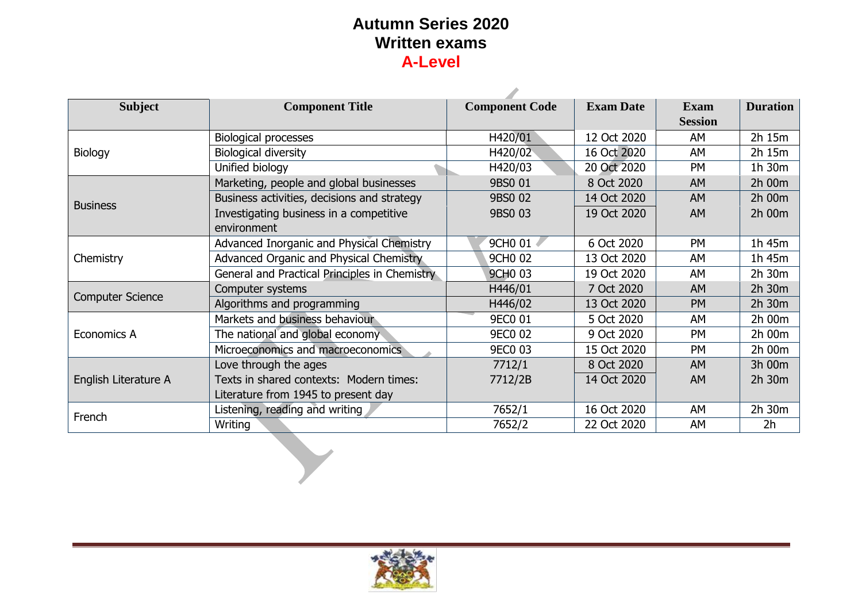| <b>Subject</b>          | <b>Component Title</b>                        | <b>Component Code</b> | <b>Exam Date</b> | <b>Exam</b>    | <b>Duration</b> |
|-------------------------|-----------------------------------------------|-----------------------|------------------|----------------|-----------------|
|                         |                                               |                       |                  | <b>Session</b> |                 |
|                         | <b>Biological processes</b>                   | H420/01               | 12 Oct 2020      | AM             | 2h 15m          |
| Biology                 | <b>Biological diversity</b>                   | H420/02               | 16 Oct 2020      | AM             | 2h 15m          |
|                         | Unified biology                               | H420/03               | 20 Oct 2020      | <b>PM</b>      | 1h 30m          |
|                         | Marketing, people and global businesses       | 9BS0 01               | 8 Oct 2020       | <b>AM</b>      | 2h 00m          |
| <b>Business</b>         | Business activities, decisions and strategy   | 9BS0 02               | 14 Oct 2020      | <b>AM</b>      | 2h 00m          |
|                         | Investigating business in a competitive       | 9BS0 03               | 19 Oct 2020      | <b>AM</b>      | 2h 00m          |
|                         | environment                                   |                       |                  |                |                 |
|                         | Advanced Inorganic and Physical Chemistry     | 9CH0 01               | 6 Oct 2020       | PM             | 1h 45m          |
| Chemistry               | Advanced Organic and Physical Chemistry       | 9CH <sub>0</sub> 02   | 13 Oct 2020      | AM             | 1h 45m          |
|                         | General and Practical Principles in Chemistry | <b>9CHO 03</b>        | 19 Oct 2020      | AM             | 2h 30m          |
|                         | Computer systems                              | H446/01               | 7 Oct 2020       | AM             | 2h 30m          |
| <b>Computer Science</b> | Algorithms and programming                    | H446/02               | 13 Oct 2020      | <b>PM</b>      | 2h 30m          |
|                         | Markets and business behaviour                | 9EC0 01               | 5 Oct 2020       | AM             | 2h 00m          |
| Economics A             | The national and global economy               | <b>9EC0 02</b>        | 9 Oct 2020       | <b>PM</b>      | 2h 00m          |
|                         | Microeconomics and macroeconomics             | <b>9EC0 03</b>        | 15 Oct 2020      | PM             | 2h 00m          |
|                         | Love through the ages                         | 7712/1                | 8 Oct 2020       | AM             | 3h 00m          |
| English Literature A    | Texts in shared contexts: Modern times:       | 7712/2B               | 14 Oct 2020      | AM             | 2h 30m          |
|                         | Literature from 1945 to present day           |                       |                  |                |                 |
| French                  | Listening, reading and writing                | 7652/1                | 16 Oct 2020      | AM             | 2h 30m          |
|                         | Writing                                       | 7652/2                | 22 Oct 2020      | AΜ             | 2 <sub>h</sub>  |

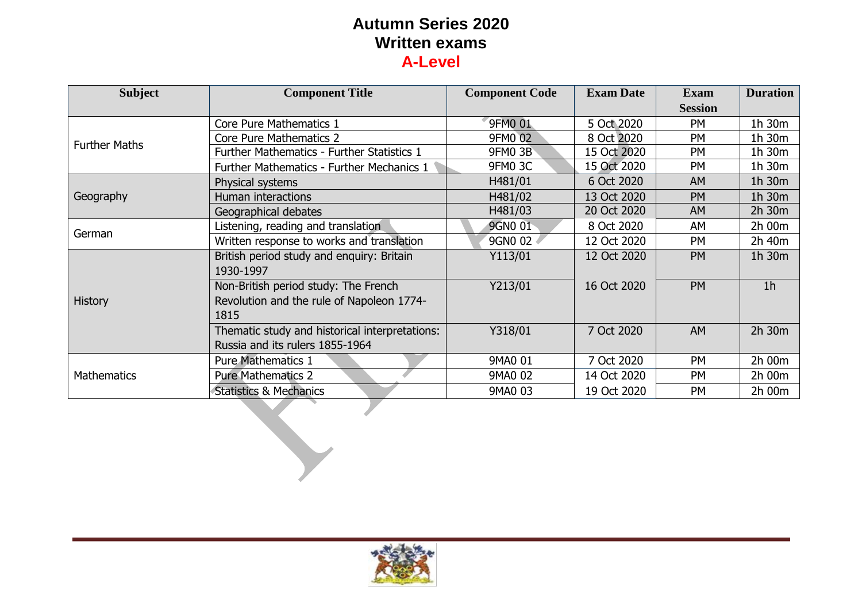| <b>Subject</b>       | <b>Component Title</b>                                                                    | <b>Component Code</b> | <b>Exam Date</b> | <b>Exam</b><br><b>Session</b> | <b>Duration</b> |
|----------------------|-------------------------------------------------------------------------------------------|-----------------------|------------------|-------------------------------|-----------------|
|                      | Core Pure Mathematics 1                                                                   | 9FM0 01               | 5 Oct 2020       | <b>PM</b>                     | 1h 30m          |
| <b>Further Maths</b> | <b>Core Pure Mathematics 2</b>                                                            | 9FM0 02               | 8 Oct 2020       | <b>PM</b>                     | 1h 30m          |
|                      | Further Mathematics - Further Statistics 1                                                | <b>9FM0 3B</b>        | 15 Oct 2020      | PM                            | 1h 30m          |
|                      | Further Mathematics - Further Mechanics 1                                                 | <b>9FM0 3C</b>        | 15 Oct 2020      | <b>PM</b>                     | 1h 30m          |
|                      | Physical systems                                                                          | H481/01               | 6 Oct 2020       | <b>AM</b>                     | 1h 30m          |
| Geography            | Human interactions                                                                        | H481/02               | 13 Oct 2020      | <b>PM</b>                     | 1h 30m          |
|                      | Geographical debates                                                                      | H481/03               | 20 Oct 2020      | <b>AM</b>                     | 2h 30m          |
| German               | Listening, reading and translation                                                        | 9GN0 01               | 8 Oct 2020       | AM                            | 2h 00m          |
|                      | Written response to works and translation                                                 | 9GN0 02               | 12 Oct 2020      | <b>PM</b>                     | 2h 40m          |
|                      | British period study and enquiry: Britain<br>1930-1997                                    | Y113/01               | 12 Oct 2020      | PM                            | 1h 30m          |
| <b>History</b>       | Non-British period study: The French<br>Revolution and the rule of Napoleon 1774-<br>1815 | Y213/01               | 16 Oct 2020      | <b>PM</b>                     | 1 <sub>h</sub>  |
|                      | Thematic study and historical interpretations:<br>Russia and its rulers 1855-1964         | Y318/01               | 7 Oct 2020       | AM                            | 2h 30m          |
|                      | <b>Pure Mathematics 1</b>                                                                 | 9MA0 01               | 7 Oct 2020       | <b>PM</b>                     | 2h 00m          |
| <b>Mathematics</b>   | <b>Pure Mathematics 2</b>                                                                 | 9MA0 02               | 14 Oct 2020      | <b>PM</b>                     | 2h 00m          |
|                      | <b>Statistics &amp; Mechanics</b>                                                         | 9MA0 03               | 19 Oct 2020      | PM                            | 2h 00m          |

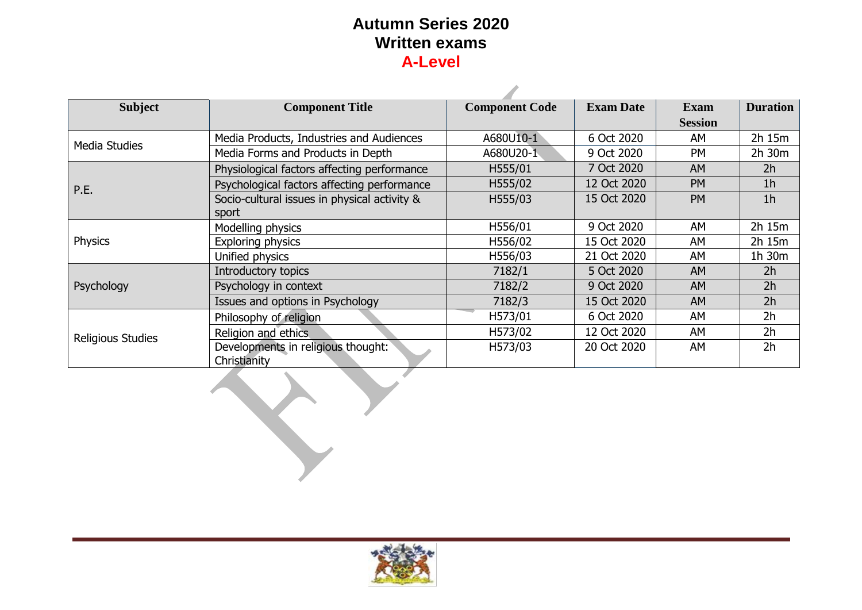A

| <b>Subject</b><br><b>Component Title</b> |                                              | <b>Component Code</b> | <b>Exam Date</b> | <b>Exam</b>    | <b>Duration</b> |
|------------------------------------------|----------------------------------------------|-----------------------|------------------|----------------|-----------------|
|                                          |                                              |                       |                  | <b>Session</b> |                 |
| <b>Media Studies</b>                     | Media Products, Industries and Audiences     | A680U10-1             | 6 Oct 2020       | AM             | 2h 15m          |
|                                          | Media Forms and Products in Depth            | A680U20-1             | 9 Oct 2020       | <b>PM</b>      | $2h$ 30 $m$     |
|                                          | Physiological factors affecting performance  | H555/01               | 7 Oct 2020       | <b>AM</b>      | 2 <sub>h</sub>  |
| P.E.                                     | Psychological factors affecting performance  | H555/02               | 12 Oct 2020      | <b>PM</b>      | 1 <sub>h</sub>  |
|                                          | Socio-cultural issues in physical activity & | H555/03               | 15 Oct 2020      | <b>PM</b>      | 1 <sub>h</sub>  |
|                                          | sport                                        |                       |                  |                |                 |
|                                          | Modelling physics                            | H556/01               | 9 Oct 2020       | AM             | 2h 15m          |
| <b>Physics</b>                           | Exploring physics                            | H556/02               | 15 Oct 2020      | AM             | 2h 15m          |
|                                          | Unified physics                              | H556/03               | 21 Oct 2020      | AM             | $1h$ 30 $m$     |
|                                          | Introductory topics                          | 7182/1                | 5 Oct 2020       | <b>AM</b>      | 2 <sub>h</sub>  |
| Psychology                               | Psychology in context                        | 7182/2                | 9 Oct 2020       | AM             | 2 <sub>h</sub>  |
|                                          | Issues and options in Psychology             | 7182/3                | 15 Oct 2020      | AM             | 2h              |
|                                          | Philosophy of religion                       | H573/01               | 6 Oct 2020       | AM             | 2 <sub>h</sub>  |
| Religious Studies                        | Religion and ethics                          | H573/02               | 12 Oct 2020      | AM             | 2 <sub>h</sub>  |
|                                          | Developments in religious thought:           | H573/03               | 20 Oct 2020      | AM             | 2 <sub>h</sub>  |
|                                          | Christianity                                 |                       |                  |                |                 |
|                                          |                                              |                       |                  |                |                 |